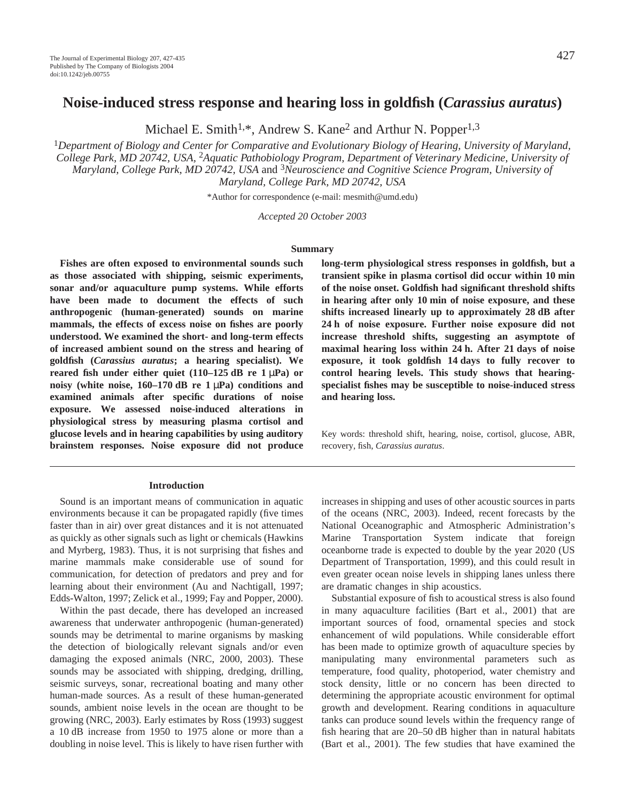# **Noise-induced stress response and hearing loss in goldfish (***Carassius auratus***)**

Michael E. Smith<sup>1,\*</sup>, Andrew S. Kane<sup>2</sup> and Arthur N. Popper<sup>1,3</sup>

<sup>1</sup>*Department of Biology and Center for Comparative and Evolutionary Biology of Hearing, University of Maryland, College Park, MD 20742, USA,* <sup>2</sup>*Aquatic Pathobiology Program, Department of Veterinary Medicine, University of Maryland, College Park, MD 20742, USA* and 3*Neuroscience and Cognitive Science Program, University of Maryland, College Park, MD 20742, USA*

\*Author for correspondence (e-mail: mesmith@umd.edu)

*Accepted 20 October 2003*

### **Summary**

**Fishes are often exposed to environmental sounds such as those associated with shipping, seismic experiments, sonar and/or aquaculture pump systems. While efforts have been made to document the effects of such anthropogenic (human-generated) sounds on marine mammals, the effects of excess noise on fishes are poorly understood. We examined the short- and long-term effects of increased ambient sound on the stress and hearing of goldfish (***Carassius auratus***; a hearing specialist). We** reared fish under either quiet  $(110-125 \text{ dB} \text{ re } 1 \mu \text{Pa})$  or noisy (white noise,  $160-170$  dB re  $1 \mu Pa$ ) conditions and **examined animals after specific durations of noise exposure. We assessed noise-induced alterations in physiological stress by measuring plasma cortisol and glucose levels and in hearing capabilities by using auditory brainstem responses. Noise exposure did not produce**

#### **Introduction**

Sound is an important means of communication in aquatic environments because it can be propagated rapidly (five times faster than in air) over great distances and it is not attenuated as quickly as other signals such as light or chemicals (Hawkins and Myrberg, 1983). Thus, it is not surprising that fishes and marine mammals make considerable use of sound for communication, for detection of predators and prey and for learning about their environment (Au and Nachtigall, 1997; Edds-Walton, 1997; Zelick et al., 1999; Fay and Popper, 2000).

Within the past decade, there has developed an increased awareness that underwater anthropogenic (human-generated) sounds may be detrimental to marine organisms by masking the detection of biologically relevant signals and/or even damaging the exposed animals (NRC, 2000, 2003). These sounds may be associated with shipping, dredging, drilling, seismic surveys, sonar, recreational boating and many other human-made sources. As a result of these human-generated sounds, ambient noise levels in the ocean are thought to be growing (NRC, 2003). Early estimates by Ross (1993) suggest a 10 dB increase from 1950 to 1975 alone or more than a doubling in noise level. This is likely to have risen further with **long-term physiological stress responses in goldfish, but a** transient spike in plasma cortisol did occur within 10 min **of the noise onset. Goldfish had significant threshold shifts** in hearing after only 10 min of noise exposure, and these **shifts increased linearly up to approximately 28·dB after 24·h of noise exposure. Further noise exposure did not increase threshold shifts, suggesting an asymptote of** maximal hearing loss within 24 h. After 21 days of noise exposure, it took goldfish 14 days to fully recover to **control hearing levels. This study shows that hearingspecialist fishes may be susceptible to noise-induced stress and hearing loss.** 

Key words: threshold shift, hearing, noise, cortisol, glucose, ABR, recovery, fish, *Carassius auratus*.

increases in shipping and uses of other acoustic sources in parts of the oceans (NRC, 2003). Indeed, recent forecasts by the National Oceanographic and Atmospheric Administration's Marine Transportation System indicate that foreign oceanborne trade is expected to double by the year 2020 (US Department of Transportation, 1999), and this could result in even greater ocean noise levels in shipping lanes unless there are dramatic changes in ship acoustics.

Substantial exposure of fish to acoustical stress is also found in many aquaculture facilities (Bart et al., 2001) that are important sources of food, ornamental species and stock enhancement of wild populations. While considerable effort has been made to optimize growth of aquaculture species by manipulating many environmental parameters such as temperature, food quality, photoperiod, water chemistry and stock density, little or no concern has been directed to determining the appropriate acoustic environment for optimal growth and development. Rearing conditions in aquaculture tanks can produce sound levels within the frequency range of fish hearing that are  $20-50$  dB higher than in natural habitats (Bart et al., 2001). The few studies that have examined the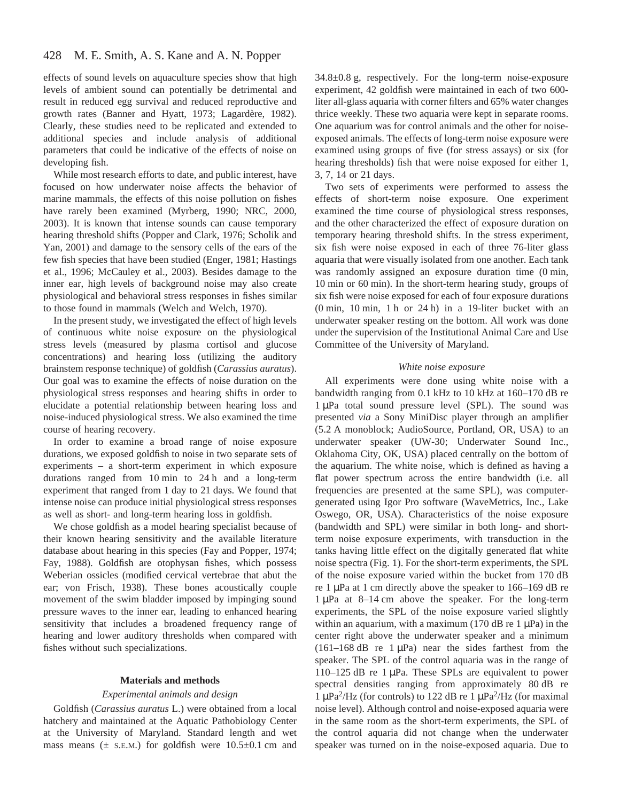effects of sound levels on aquaculture species show that high levels of ambient sound can potentially be detrimental and result in reduced egg survival and reduced reproductive and growth rates (Banner and Hyatt, 1973; Lagardère, 1982). Clearly, these studies need to be replicated and extended to additional species and include analysis of additional parameters that could be indicative of the effects of noise on developing fish.

While most research efforts to date, and public interest, have focused on how underwater noise affects the behavior of marine mammals, the effects of this noise pollution on fishes have rarely been examined (Myrberg, 1990; NRC, 2000, 2003). It is known that intense sounds can cause temporary hearing threshold shifts (Popper and Clark, 1976; Scholik and Yan, 2001) and damage to the sensory cells of the ears of the few fish species that have been studied (Enger, 1981; Hastings et al., 1996; McCauley et al., 2003). Besides damage to the inner ear, high levels of background noise may also create physiological and behavioral stress responses in fishes similar to those found in mammals (Welch and Welch, 1970).

In the present study, we investigated the effect of high levels of continuous white noise exposure on the physiological stress levels (measured by plasma cortisol and glucose concentrations) and hearing loss (utilizing the auditory brainstem response technique) of goldfish (*Carassius auratus*). Our goal was to examine the effects of noise duration on the physiological stress responses and hearing shifts in order to elucidate a potential relationship between hearing loss and noise-induced physiological stress. We also examined the time course of hearing recovery.

In order to examine a broad range of noise exposure durations, we exposed goldfish to noise in two separate sets of experiments – a short-term experiment in which exposure durations ranged from 10 min to 24 h and a long-term experiment that ranged from 1 day to 21 days. We found that intense noise can produce initial physiological stress responses as well as short- and long-term hearing loss in goldfish.

We chose goldfish as a model hearing specialist because of their known hearing sensitivity and the available literature database about hearing in this species (Fay and Popper, 1974; Fay, 1988). Goldfish are otophysan fishes, which possess Weberian ossicles (modified cervical vertebrae that abut the ear; von Frisch, 1938). These bones acoustically couple movement of the swim bladder imposed by impinging sound pressure waves to the inner ear, leading to enhanced hearing sensitivity that includes a broadened frequency range of hearing and lower auditory thresholds when compared with fishes without such specializations.

#### **Materials and methods**

#### *Experimental animals and design*

Goldfish (*Carassius auratus* L.) were obtained from a local hatchery and maintained at the Aquatic Pathobiology Center at the University of Maryland. Standard length and wet mass means  $(\pm$  s.E.M.) for goldfish were 10.5 $\pm$ 0.1 cm and

 $34.8\pm0.8$  g, respectively. For the long-term noise-exposure experiment, 42 goldfish were maintained in each of two 600 liter all-glass aquaria with corner filters and 65% water changes thrice weekly. These two aquaria were kept in separate rooms. One aquarium was for control animals and the other for noiseexposed animals. The effects of long-term noise exposure were examined using groups of five (for stress assays) or six (for hearing thresholds) fish that were noise exposed for either 1, 3, 7, 14 or 21 days.

Two sets of experiments were performed to assess the effects of short-term noise exposure. One experiment examined the time course of physiological stress responses, and the other characterized the effect of exposure duration on temporary hearing threshold shifts. In the stress experiment, six fish were noise exposed in each of three 76-liter glass aquaria that were visually isolated from one another. Each tank was randomly assigned an exposure duration time (0 min, 10 min or 60 min). In the short-term hearing study, groups of six fish were noise exposed for each of four exposure durations  $(0 \text{ min}, 10 \text{ min}, 1 \text{ h} \text{ or } 24 \text{ h})$  in a 19-liter bucket with an underwater speaker resting on the bottom. All work was done under the supervision of the Institutional Animal Care and Use Committee of the University of Maryland.

### *White noise exposure*

All experiments were done using white noise with a bandwidth ranging from 0.1 kHz to 10 kHz at 160–170 dB re 1 µPa total sound pressure level (SPL). The sound was presented *via* a Sony MiniDisc player through an amplifier (5.2 A monoblock; AudioSource, Portland, OR, USA) to an underwater speaker (UW-30; Underwater Sound Inc., Oklahoma City, OK, USA) placed centrally on the bottom of the aquarium. The white noise, which is defined as having a flat power spectrum across the entire bandwidth (i.e. all frequencies are presented at the same SPL), was computergenerated using Igor Pro software (WaveMetrics, Inc., Lake Oswego, OR, USA). Characteristics of the noise exposure (bandwidth and SPL) were similar in both long- and shortterm noise exposure experiments, with transduction in the tanks having little effect on the digitally generated flat white noise spectra (Fig. 1). For the short-term experiments, the SPL of the noise exposure varied within the bucket from 170·dB re 1  $\mu$ Pa at 1 cm directly above the speaker to 166–169 dB re 1 µPa at 8-14 cm above the speaker. For the long-term experiments, the SPL of the noise exposure varied slightly within an aquarium, with a maximum (170 $dB$  re 1  $\mu$ Pa) in the center right above the underwater speaker and a minimum  $(161-168$  dB re 1  $\mu$ Pa) near the sides farthest from the speaker. The SPL of the control aquaria was in the range of 110–125 dB re 1  $\mu$ Pa. These SPLs are equivalent to power spectral densities ranging from approximately 80 dB re 1  $\mu$ Pa<sup>2</sup>/Hz (for controls) to 122 dB re 1  $\mu$ Pa<sup>2</sup>/Hz (for maximal noise level). Although control and noise-exposed aquaria were in the same room as the short-term experiments, the SPL of the control aquaria did not change when the underwater speaker was turned on in the noise-exposed aquaria. Due to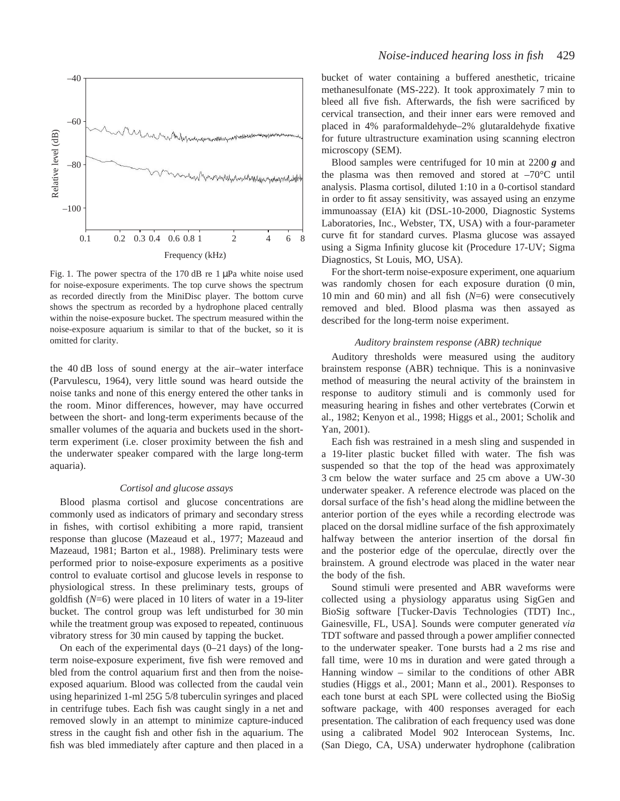

Fig. 1. The power spectra of the 170 dB re 1  $\mu$ Pa white noise used for noise-exposure experiments. The top curve shows the spectrum as recorded directly from the MiniDisc player. The bottom curve shows the spectrum as recorded by a hydrophone placed centrally within the noise-exposure bucket. The spectrum measured within the noise-exposure aquarium is similar to that of the bucket, so it is omitted for clarity.

the 40 dB loss of sound energy at the air-water interface (Parvulescu, 1964), very little sound was heard outside the noise tanks and none of this energy entered the other tanks in the room. Minor differences, however, may have occurred between the short- and long-term experiments because of the smaller volumes of the aquaria and buckets used in the shortterm experiment (i.e. closer proximity between the fish and the underwater speaker compared with the large long-term aquaria).

### *Cortisol and glucose assays*

Blood plasma cortisol and glucose concentrations are commonly used as indicators of primary and secondary stress in fishes, with cortisol exhibiting a more rapid, transient response than glucose (Mazeaud et al., 1977; Mazeaud and Mazeaud, 1981; Barton et al., 1988). Preliminary tests were performed prior to noise-exposure experiments as a positive control to evaluate cortisol and glucose levels in response to physiological stress. In these preliminary tests, groups of goldfish (*N*=6) were placed in 10 liters of water in a 19-liter bucket. The control group was left undisturbed for 30 min while the treatment group was exposed to repeated, continuous vibratory stress for 30 min caused by tapping the bucket.

On each of the experimental days  $(0-21 \text{ days})$  of the longterm noise-exposure experiment, five fish were removed and bled from the control aquarium first and then from the noiseexposed aquarium. Blood was collected from the caudal vein using heparinized 1-ml 25G 5/8 tuberculin syringes and placed in centrifuge tubes. Each fish was caught singly in a net and removed slowly in an attempt to minimize capture-induced stress in the caught fish and other fish in the aquarium. The fish was bled immediately after capture and then placed in a bucket of water containing a buffered anesthetic, tricaine methanesulfonate (MS-222). It took approximately 7 min to bleed all five fish. Afterwards, the fish were sacrificed by cervical transection, and their inner ears were removed and placed in 4% paraformaldehyde–2% glutaraldehyde fixative for future ultrastructure examination using scanning electron microscopy (SEM).

Blood samples were centrifuged for 10 min at  $2200\,\text{g}$  and the plasma was then removed and stored at  $-70^{\circ}$ C until analysis. Plasma cortisol, diluted 1:10 in a 0-cortisol standard in order to fit assay sensitivity, was assayed using an enzyme immunoassay (EIA) kit (DSL-10-2000, Diagnostic Systems Laboratories, Inc., Webster, TX, USA) with a four-parameter curve fit for standard curves. Plasma glucose was assayed using a Sigma Infinity glucose kit (Procedure 17-UV; Sigma Diagnostics, St Louis, MO, USA).

For the short-term noise-exposure experiment, one aquarium was randomly chosen for each exposure duration (0 min, 10 min and 60 min) and all fish  $(N=6)$  were consecutively removed and bled. Blood plasma was then assayed as described for the long-term noise experiment.

#### *Auditory brainstem response (ABR) technique*

Auditory thresholds were measured using the auditory brainstem response (ABR) technique. This is a noninvasive method of measuring the neural activity of the brainstem in response to auditory stimuli and is commonly used for measuring hearing in fishes and other vertebrates (Corwin et al., 1982; Kenyon et al., 1998; Higgs et al., 2001; Scholik and Yan, 2001).

Each fish was restrained in a mesh sling and suspended in a 19-liter plastic bucket filled with water. The fish was suspended so that the top of the head was approximately 3 cm below the water surface and 25 cm above a UW-30 underwater speaker. A reference electrode was placed on the dorsal surface of the fish's head along the midline between the anterior portion of the eyes while a recording electrode was placed on the dorsal midline surface of the fish approximately halfway between the anterior insertion of the dorsal fin and the posterior edge of the operculae, directly over the brainstem. A ground electrode was placed in the water near the body of the fish.

Sound stimuli were presented and ABR waveforms were collected using a physiology apparatus using SigGen and BioSig software [Tucker-Davis Technologies (TDT) Inc., Gainesville, FL, USA]. Sounds were computer generated *via* TDT software and passed through a power amplifier connected to the underwater speaker. Tone bursts had a 2 ms rise and fall time, were 10 ms in duration and were gated through a Hanning window – similar to the conditions of other ABR studies (Higgs et al., 2001; Mann et al., 2001). Responses to each tone burst at each SPL were collected using the BioSig software package, with 400 responses averaged for each presentation. The calibration of each frequency used was done using a calibrated Model 902 Interocean Systems, Inc. (San Diego, CA, USA) underwater hydrophone (calibration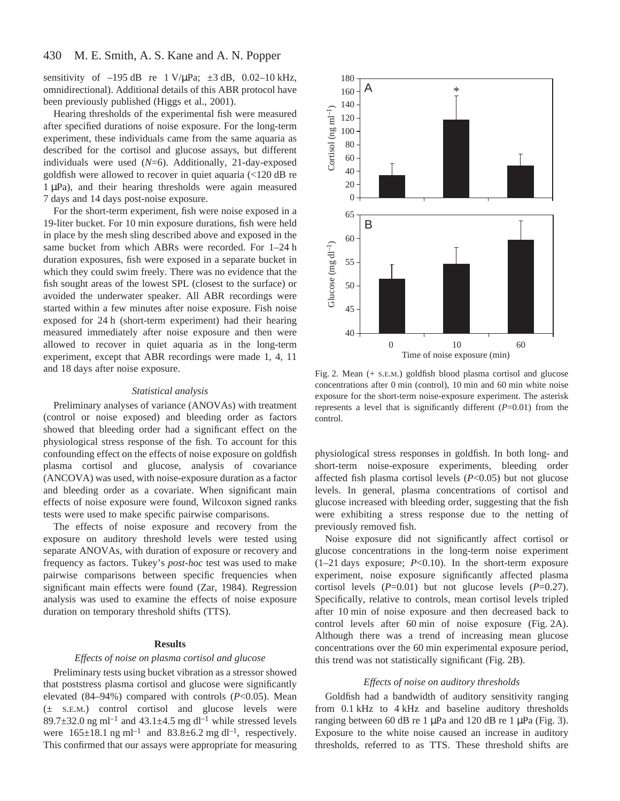sensitivity of  $-195$  dB re 1 V/ $\mu$ Pa;  $\pm 3$  dB, 0.02–10 kHz, omnidirectional). Additional details of this ABR protocol have been previously published (Higgs et al., 2001).

Hearing thresholds of the experimental fish were measured after specified durations of noise exposure. For the long-term experiment, these individuals came from the same aquaria as described for the cortisol and glucose assays, but different individuals were used (*N*=6). Additionally, 21-day-exposed goldfish were allowed to recover in quiet aquaria  $\langle$  <120 dB re  $1 \mu Pa$ , and their hearing thresholds were again measured 7 days and 14 days post-noise exposure.

For the short-term experiment, fish were noise exposed in a 19-liter bucket. For 10 min exposure durations, fish were held in place by the mesh sling described above and exposed in the same bucket from which ABRs were recorded. For 1-24 h duration exposures, fish were exposed in a separate bucket in which they could swim freely. There was no evidence that the fish sought areas of the lowest SPL (closest to the surface) or avoided the underwater speaker. All ABR recordings were started within a few minutes after noise exposure. Fish noise exposed for 24 h (short-term experiment) had their hearing measured immediately after noise exposure and then were allowed to recover in quiet aquaria as in the long-term experiment, except that ABR recordings were made 1, 4, 11 and 18 days after noise exposure.

#### *Statistical analysis*

Preliminary analyses of variance (ANOVAs) with treatment (control or noise exposed) and bleeding order as factors showed that bleeding order had a significant effect on the physiological stress response of the fish. To account for this confounding effect on the effects of noise exposure on goldfish plasma cortisol and glucose, analysis of covariance (ANCOVA) was used, with noise-exposure duration as a factor and bleeding order as a covariate. When significant main effects of noise exposure were found, Wilcoxon signed ranks tests were used to make specific pairwise comparisons.

The effects of noise exposure and recovery from the exposure on auditory threshold levels were tested using separate ANOVAs, with duration of exposure or recovery and frequency as factors. Tukey's *post-hoc* test was used to make pairwise comparisons between specific frequencies when significant main effects were found (Zar, 1984). Regression analysis was used to examine the effects of noise exposure duration on temporary threshold shifts (TTS).

#### **Results**

# *Effects of noise on plasma cortisol and glucose*

Preliminary tests using bucket vibration as a stressor showed that poststress plasma cortisol and glucose were significantly elevated (84–94%) compared with controls (*P*<0.05). Mean (± S.E.M.) control cortisol and glucose levels were 89.7 $\pm$ 32.0 ng ml<sup>-1</sup> and 43.1 $\pm$ 4.5 mg dl<sup>-1</sup> while stressed levels were  $165\pm18.1$  ng ml<sup>-1</sup> and  $83.8\pm6.2$  mg dl<sup>-1</sup>, respectively. This confirmed that our assays were appropriate for measuring



Fig. 2. Mean  $(+$  s.e.m.) goldfish blood plasma cortisol and glucose concentrations after  $0$  min (control),  $10$  min and  $60$  min white noise exposure for the short-term noise-exposure experiment. The asterisk represents a level that is significantly different (*P*=0.01) from the control.

physiological stress responses in goldfish. In both long- and short-term noise-exposure experiments, bleeding order affected fish plasma cortisol levels (*P*<0.05) but not glucose levels. In general, plasma concentrations of cortisol and glucose increased with bleeding order, suggesting that the fish were exhibiting a stress response due to the netting of previously removed fish.

Noise exposure did not significantly affect cortisol or glucose concentrations in the long-term noise experiment  $(1-21 \text{ days exposure}; P<0.10)$ . In the short-term exposure experiment, noise exposure significantly affected plasma cortisol levels (*P*=0.01) but not glucose levels (*P*=0.27). Specifically, relative to controls, mean cortisol levels tripled after 10 min of noise exposure and then decreased back to control levels after  $60 \text{ min}$  of noise exposure (Fig. 2A). Although there was a trend of increasing mean glucose concentrations over the 60 min experimental exposure period, this trend was not statistically significant (Fig. 2B).

#### *Effects of noise on auditory thresholds*

Goldfish had a bandwidth of auditory sensitivity ranging from 0.1 kHz to 4 kHz and baseline auditory thresholds ranging between 60 dB re 1  $\mu$ Pa and 120 dB re 1  $\mu$ Pa (Fig. 3). Exposure to the white noise caused an increase in auditory thresholds, referred to as TTS. These threshold shifts are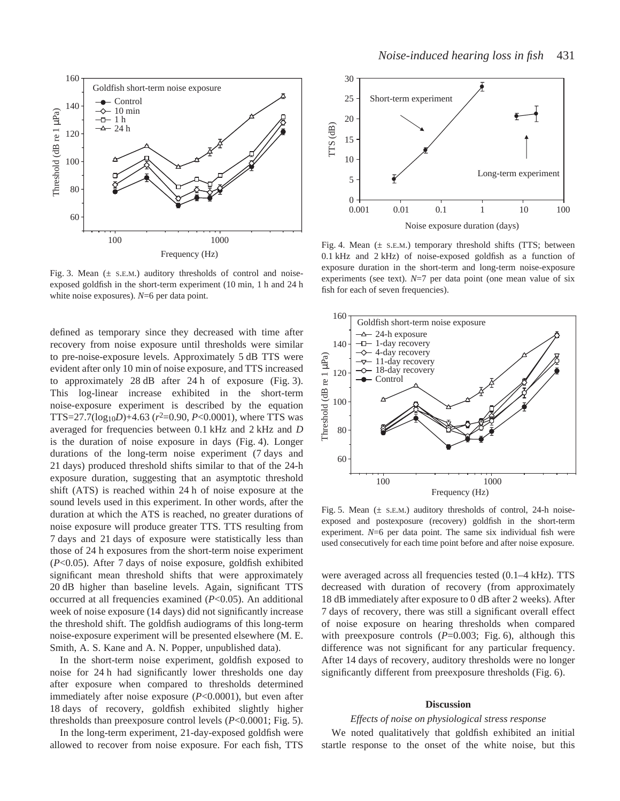

Fig. 3. Mean  $(±$  s.E.M.) auditory thresholds of control and noiseexposed goldfish in the short-term experiment (10 min, 1 h and 24 h white noise exposures). *N*=6 per data point.

defined as temporary since they decreased with time after recovery from noise exposure until thresholds were similar to pre-noise-exposure levels. Approximately 5·dB TTS were evident after only 10 min of noise exposure, and TTS increased to approximately  $28$  dB after  $24$  h of exposure (Fig. 3). This log-linear increase exhibited in the short-term noise-exposure experiment is described by the equation TTS=27.7( $log_{10}D$ )+4.63 ( $r^2$ =0.90,  $P$ <0.0001), where TTS was averaged for frequencies between 0.1 kHz and 2 kHz and *D* is the duration of noise exposure in days (Fig. 4). Longer durations of the long-term noise experiment (7 days and 21 days) produced threshold shifts similar to that of the 24-h exposure duration, suggesting that an asymptotic threshold shift (ATS) is reached within 24 h of noise exposure at the sound levels used in this experiment. In other words, after the duration at which the ATS is reached, no greater durations of noise exposure will produce greater TTS. TTS resulting from 7 days and 21 days of exposure were statistically less than those of 24 h exposures from the short-term noise experiment  $(P<0.05)$ . After 7 days of noise exposure, goldfish exhibited significant mean threshold shifts that were approximately 20 dB higher than baseline levels. Again, significant TTS occurred at all frequencies examined (*P*<0.05). An additional week of noise exposure (14 days) did not significantly increase the threshold shift. The goldfish audiograms of this long-term noise-exposure experiment will be presented elsewhere (M. E. Smith, A. S. Kane and A. N. Popper, unpublished data).

In the short-term noise experiment, goldfish exposed to noise for 24 h had significantly lower thresholds one day after exposure when compared to thresholds determined immediately after noise exposure (*P*<0.0001), but even after 18 days of recovery, goldfish exhibited slightly higher thresholds than preexposure control levels  $(P<0.0001; Fig. 5)$ .

In the long-term experiment, 21-day-exposed goldfish were allowed to recover from noise exposure. For each fish, TTS



Fig. 4. Mean  $(±$  s.E.M.) temporary threshold shifts (TTS; between  $0.1$  kHz and  $2$  kHz) of noise-exposed goldfish as a function of exposure duration in the short-term and long-term noise-exposure experiments (see text). *N*=7 per data point (one mean value of six fish for each of seven frequencies).



Fig. 5. Mean  $(\pm s.E.M.)$  auditory thresholds of control, 24-h noiseexposed and postexposure (recovery) goldfish in the short-term experiment. *N*=6 per data point. The same six individual fish were used consecutively for each time point before and after noise exposure.

were averaged across all frequencies tested  $(0.1-4 \text{ kHz})$ . TTS decreased with duration of recovery (from approximately 18 dB immediately after exposure to 0 dB after 2 weeks). After 7 days of recovery, there was still a significant overall effect of noise exposure on hearing thresholds when compared with preexposure controls  $(P=0.003;$  Fig. 6), although this difference was not significant for any particular frequency. After 14 days of recovery, auditory thresholds were no longer significantly different from preexposure thresholds (Fig. 6).

## **Discussion**

# *Effects of noise on physiological stress response*

We noted qualitatively that goldfish exhibited an initial startle response to the onset of the white noise, but this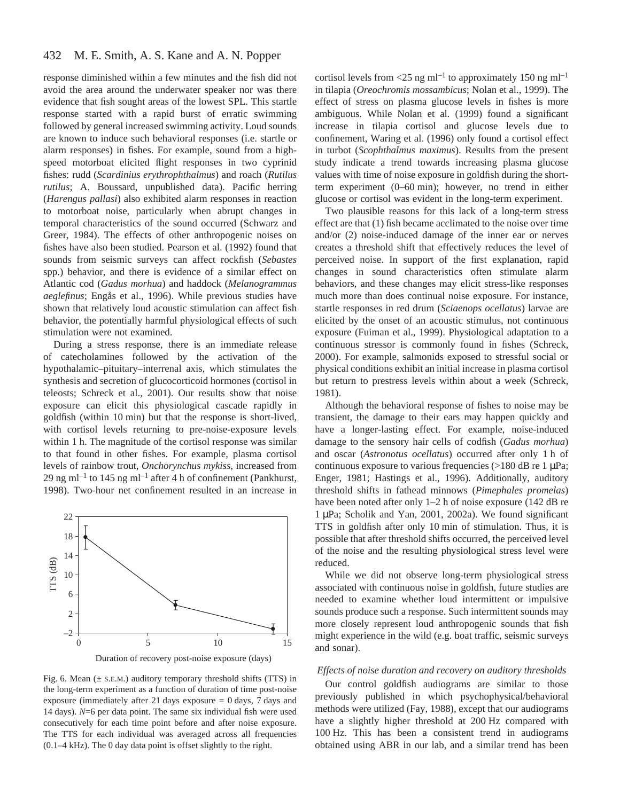#### 432 M. E. Smith, A. S. Kane and A. N. Popper

response diminished within a few minutes and the fish did not avoid the area around the underwater speaker nor was there evidence that fish sought areas of the lowest SPL. This startle response started with a rapid burst of erratic swimming followed by general increased swimming activity. Loud sounds are known to induce such behavioral responses (i.e. startle or alarm responses) in fishes. For example, sound from a highspeed motorboat elicited flight responses in two cyprinid fishes: rudd (*Scardinius erythrophthalmus*) and roach (*Rutilus rutilus*; A. Boussard, unpublished data). Pacific herring (*Harengus pallasi*) also exhibited alarm responses in reaction to motorboat noise, particularly when abrupt changes in temporal characteristics of the sound occurred (Schwarz and Greer, 1984). The effects of other anthropogenic noises on fishes have also been studied. Pearson et al. (1992) found that sounds from seismic surveys can affect rockfish (*Sebastes* spp.) behavior, and there is evidence of a similar effect on Atlantic cod (*Gadus morhua*) and haddock (*Melanogrammus aeglefinus*; Engås et al., 1996). While previous studies have shown that relatively loud acoustic stimulation can affect fish behavior, the potentially harmful physiological effects of such stimulation were not examined.

During a stress response, there is an immediate release of catecholamines followed by the activation of the hypothalamic–pituitary–interrenal axis, which stimulates the synthesis and secretion of glucocorticoid hormones (cortisol in teleosts; Schreck et al., 2001). Our results show that noise exposure can elicit this physiological cascade rapidly in goldfish (within 10 min) but that the response is short-lived, with cortisol levels returning to pre-noise-exposure levels within 1 h. The magnitude of the cortisol response was similar to that found in other fishes. For example, plasma cortisol levels of rainbow trout, *Onchorynchus mykiss*, increased from 29 ng ml<sup>-1</sup> to 145 ng ml<sup>-1</sup> after 4 h of confinement (Pankhurst, 1998). Two-hour net confinement resulted in an increase in





Fig. 6. Mean ( $\pm$  s.e.m.) auditory temporary threshold shifts (TTS) in the long-term experiment as a function of duration of time post-noise exposure (immediately after 21 days exposure  $= 0$  days, 7 days and 14 days). *N*=6 per data point. The same six individual fish were used consecutively for each time point before and after noise exposure. The TTS for each individual was averaged across all frequencies  $(0.1-4 \text{ kHz})$ . The 0 day data point is offset slightly to the right.

cortisol levels from  $\langle 25 \text{ ng ml}^{-1}$  to approximately 150 ng ml<sup>-1</sup> in tilapia (*Oreochromis mossambicus*; Nolan et al., 1999). The effect of stress on plasma glucose levels in fishes is more ambiguous. While Nolan et al. (1999) found a significant increase in tilapia cortisol and glucose levels due to confinement, Waring et al. (1996) only found a cortisol effect in turbot (*Scophthalmus maximus*). Results from the present study indicate a trend towards increasing plasma glucose values with time of noise exposure in goldfish during the shortterm experiment  $(0-60 \text{ min})$ ; however, no trend in either glucose or cortisol was evident in the long-term experiment.

Two plausible reasons for this lack of a long-term stress effect are that (1) fish became acclimated to the noise over time and/or (2) noise-induced damage of the inner ear or nerves creates a threshold shift that effectively reduces the level of perceived noise. In support of the first explanation, rapid changes in sound characteristics often stimulate alarm behaviors, and these changes may elicit stress-like responses much more than does continual noise exposure. For instance, startle responses in red drum (*Sciaenops ocellatus*) larvae are elicited by the onset of an acoustic stimulus, not continuous exposure (Fuiman et al., 1999). Physiological adaptation to a continuous stressor is commonly found in fishes (Schreck, 2000). For example, salmonids exposed to stressful social or physical conditions exhibit an initial increase in plasma cortisol but return to prestress levels within about a week (Schreck, 1981).

Although the behavioral response of fishes to noise may be transient, the damage to their ears may happen quickly and have a longer-lasting effect. For example, noise-induced damage to the sensory hair cells of codfish (*Gadus morhua*) and oscar (*Astronotus ocellatus*) occurred after only 1 h of continuous exposure to various frequencies (>180 dB re 1  $\mu$ Pa; Enger, 1981; Hastings et al., 1996). Additionally, auditory threshold shifts in fathead minnows (*Pimephales promelas*) have been noted after only  $1-2$  h of noise exposure (142 $dB$  re 1·µPa; Scholik and Yan, 2001, 2002a). We found significant TTS in goldfish after only 10 min of stimulation. Thus, it is possible that after threshold shifts occurred, the perceived level of the noise and the resulting physiological stress level were reduced.

While we did not observe long-term physiological stress associated with continuous noise in goldfish, future studies are needed to examine whether loud intermittent or impulsive sounds produce such a response. Such intermittent sounds may more closely represent loud anthropogenic sounds that fish might experience in the wild (e.g. boat traffic, seismic surveys and sonar).

# *Effects of noise duration and recovery on auditory thresholds*

Our control goldfish audiograms are similar to those previously published in which psychophysical/behavioral methods were utilized (Fay, 1988), except that our audiograms have a slightly higher threshold at 200 Hz compared with 100 Hz. This has been a consistent trend in audiograms obtained using ABR in our lab, and a similar trend has been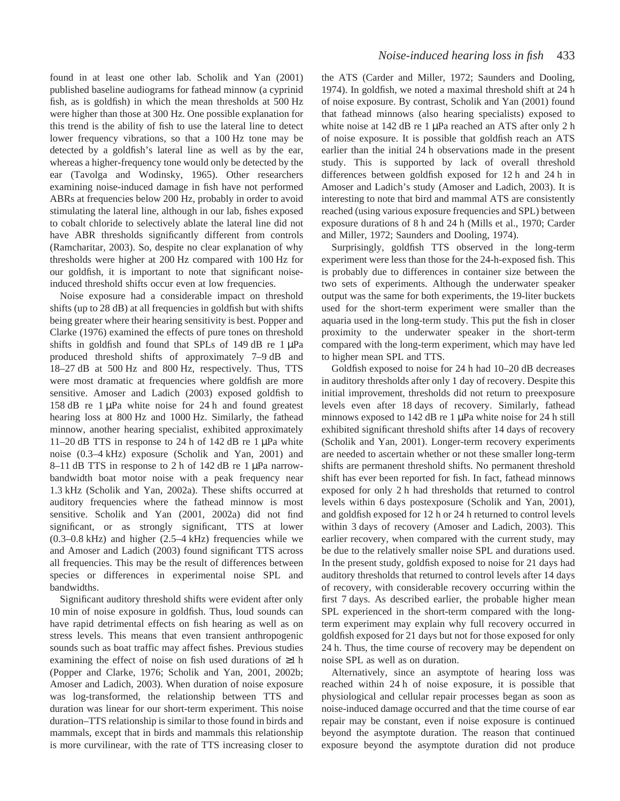found in at least one other lab. Scholik and Yan (2001) published baseline audiograms for fathead minnow (a cyprinid fish, as is goldfish) in which the mean thresholds at 500 Hz were higher than those at 300 Hz. One possible explanation for this trend is the ability of fish to use the lateral line to detect lower frequency vibrations, so that a 100 Hz tone may be detected by a goldfish's lateral line as well as by the ear, whereas a higher-frequency tone would only be detected by the ear (Tavolga and Wodinsky, 1965). Other researchers examining noise-induced damage in fish have not performed ABRs at frequencies below 200 Hz, probably in order to avoid stimulating the lateral line, although in our lab, fishes exposed to cobalt chloride to selectively ablate the lateral line did not have ABR thresholds significantly different from controls (Ramcharitar, 2003). So, despite no clear explanation of why thresholds were higher at 200 Hz compared with 100 Hz for our goldfish, it is important to note that significant noiseinduced threshold shifts occur even at low frequencies.

Noise exposure had a considerable impact on threshold shifts (up to 28 dB) at all frequencies in goldfish but with shifts being greater where their hearing sensitivity is best. Popper and Clarke (1976) examined the effects of pure tones on threshold shifts in goldfish and found that SPLs of  $149$  dB re  $1 \mu$ Pa produced threshold shifts of approximately 7–9 dB and 18–27 dB at 500 Hz and 800 Hz, respectively. Thus, TTS were most dramatic at frequencies where goldfish are more sensitive. Amoser and Ladich (2003) exposed goldfish to 158 dB re  $1 \mu$ Pa white noise for 24 h and found greatest hearing loss at 800 Hz and 1000 Hz. Similarly, the fathead minnow, another hearing specialist, exhibited approximately 11–20 dB TTS in response to 24 h of 142 dB re 1  $\mu$ Pa white noise (0.3–4 kHz) exposure (Scholik and Yan, 2001) and 8–11 dB TTS in response to 2 h of 142 dB re 1  $\mu$ Pa narrowbandwidth boat motor noise with a peak frequency near 1.3·kHz (Scholik and Yan, 2002a). These shifts occurred at auditory frequencies where the fathead minnow is most sensitive. Scholik and Yan (2001, 2002a) did not find significant, or as strongly significant, TTS at lower  $(0.3-0.8$  kHz) and higher  $(2.5-4$  kHz) frequencies while we and Amoser and Ladich (2003) found significant TTS across all frequencies. This may be the result of differences between species or differences in experimental noise SPL and bandwidths.

Significant auditory threshold shifts were evident after only 10 min of noise exposure in goldfish. Thus, loud sounds can have rapid detrimental effects on fish hearing as well as on stress levels. This means that even transient anthropogenic sounds such as boat traffic may affect fishes. Previous studies examining the effect of noise on fish used durations of  $\geq 1$  h (Popper and Clarke, 1976; Scholik and Yan, 2001, 2002b; Amoser and Ladich, 2003). When duration of noise exposure was log-transformed, the relationship between TTS and duration was linear for our short-term experiment. This noise duration–TTS relationship is similar to those found in birds and mammals, except that in birds and mammals this relationship is more curvilinear, with the rate of TTS increasing closer to the ATS (Carder and Miller, 1972; Saunders and Dooling, 1974). In goldfish, we noted a maximal threshold shift at 24 h of noise exposure. By contrast, Scholik and Yan (2001) found that fathead minnows (also hearing specialists) exposed to white noise at  $142$  dB re 1  $\mu$ Pa reached an ATS after only 2 h of noise exposure. It is possible that goldfish reach an ATS earlier than the initial 24 h observations made in the present study. This is supported by lack of overall threshold differences between goldfish exposed for  $12 h$  and  $24 h$  in Amoser and Ladich's study (Amoser and Ladich, 2003). It is interesting to note that bird and mammal ATS are consistently reached (using various exposure frequencies and SPL) between exposure durations of 8 h and 24 h (Mills et al., 1970; Carder and Miller, 1972; Saunders and Dooling, 1974).

Surprisingly, goldfish TTS observed in the long-term experiment were less than those for the 24-h-exposed fish. This is probably due to differences in container size between the two sets of experiments. Although the underwater speaker output was the same for both experiments, the 19-liter buckets used for the short-term experiment were smaller than the aquaria used in the long-term study. This put the fish in closer proximity to the underwater speaker in the short-term compared with the long-term experiment, which may have led to higher mean SPL and TTS.

Goldfish exposed to noise for  $24$  h had  $10-20$  dB decreases in auditory thresholds after only 1 day of recovery. Despite this initial improvement, thresholds did not return to preexposure levels even after 18 days of recovery. Similarly, fathead minnows exposed to 142 dB re 1  $\mu$ Pa white noise for 24 h still exhibited significant threshold shifts after 14 days of recovery (Scholik and Yan, 2001). Longer-term recovery experiments are needed to ascertain whether or not these smaller long-term shifts are permanent threshold shifts. No permanent threshold shift has ever been reported for fish. In fact, fathead minnows exposed for only 2 h had thresholds that returned to control levels within 6 days postexposure (Scholik and Yan, 2001), and goldfish exposed for 12 h or 24 h returned to control levels within 3 days of recovery (Amoser and Ladich, 2003). This earlier recovery, when compared with the current study, may be due to the relatively smaller noise SPL and durations used. In the present study, goldfish exposed to noise for 21 days had auditory thresholds that returned to control levels after 14 days of recovery, with considerable recovery occurring within the first 7 days. As described earlier, the probable higher mean SPL experienced in the short-term compared with the longterm experiment may explain why full recovery occurred in goldfish exposed for 21 days but not for those exposed for only 24 h. Thus, the time course of recovery may be dependent on noise SPL as well as on duration.

Alternatively, since an asymptote of hearing loss was reached within 24 h of noise exposure, it is possible that physiological and cellular repair processes began as soon as noise-induced damage occurred and that the time course of ear repair may be constant, even if noise exposure is continued beyond the asymptote duration. The reason that continued exposure beyond the asymptote duration did not produce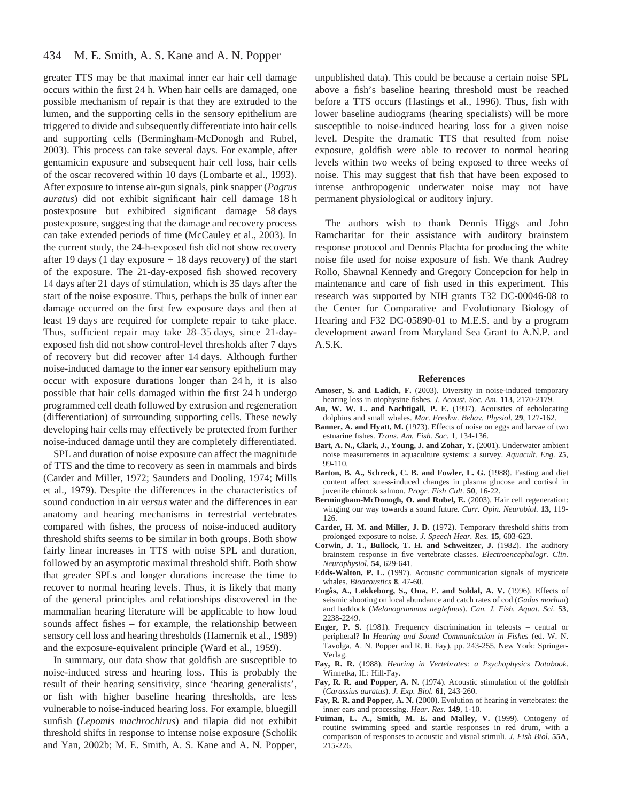#### 434 M. E. Smith, A. S. Kane and A. N. Popper

greater TTS may be that maximal inner ear hair cell damage occurs within the first 24 h. When hair cells are damaged, one possible mechanism of repair is that they are extruded to the lumen, and the supporting cells in the sensory epithelium are triggered to divide and subsequently differentiate into hair cells and supporting cells (Bermingham-McDonogh and Rubel, 2003). This process can take several days. For example, after gentamicin exposure and subsequent hair cell loss, hair cells of the oscar recovered within 10 days (Lombarte et al., 1993). After exposure to intense air-gun signals, pink snapper (*Pagrus auratus*) did not exhibit significant hair cell damage 18·h postexposure but exhibited significant damage 58 days postexposure, suggesting that the damage and recovery process can take extended periods of time (McCauley et al., 2003). In the current study, the 24-h-exposed fish did not show recovery after 19 days (1 day exposure  $+ 18$  days recovery) of the start of the exposure. The 21-day-exposed fish showed recovery 14 days after 21 days of stimulation, which is 35 days after the start of the noise exposure. Thus, perhaps the bulk of inner ear damage occurred on the first few exposure days and then at least 19 days are required for complete repair to take place. Thus, sufficient repair may take 28-35 days, since 21-dayexposed fish did not show control-level thresholds after 7 days of recovery but did recover after 14 days. Although further noise-induced damage to the inner ear sensory epithelium may occur with exposure durations longer than 24 h, it is also possible that hair cells damaged within the first 24 h undergo programmed cell death followed by extrusion and regeneration (differentiation) of surrounding supporting cells. These newly developing hair cells may effectively be protected from further noise-induced damage until they are completely differentiated.

SPL and duration of noise exposure can affect the magnitude of TTS and the time to recovery as seen in mammals and birds (Carder and Miller, 1972; Saunders and Dooling, 1974; Mills et al., 1979). Despite the differences in the characteristics of sound conduction in air *versus* water and the differences in ear anatomy and hearing mechanisms in terrestrial vertebrates compared with fishes, the process of noise-induced auditory threshold shifts seems to be similar in both groups. Both show fairly linear increases in TTS with noise SPL and duration, followed by an asymptotic maximal threshold shift. Both show that greater SPLs and longer durations increase the time to recover to normal hearing levels. Thus, it is likely that many of the general principles and relationships discovered in the mammalian hearing literature will be applicable to how loud sounds affect fishes – for example, the relationship between sensory cell loss and hearing thresholds (Hamernik et al., 1989) and the exposure-equivalent principle (Ward et al., 1959).

In summary, our data show that goldfish are susceptible to noise-induced stress and hearing loss. This is probably the result of their hearing sensitivity, since 'hearing generalists', or fish with higher baseline hearing thresholds, are less vulnerable to noise-induced hearing loss. For example, bluegill sunfish (*Lepomis machrochirus*) and tilapia did not exhibit threshold shifts in response to intense noise exposure (Scholik and Yan, 2002b; M. E. Smith, A. S. Kane and A. N. Popper, unpublished data). This could be because a certain noise SPL above a fish's baseline hearing threshold must be reached before a TTS occurs (Hastings et al., 1996). Thus, fish with lower baseline audiograms (hearing specialists) will be more susceptible to noise-induced hearing loss for a given noise level. Despite the dramatic TTS that resulted from noise exposure, goldfish were able to recover to normal hearing levels within two weeks of being exposed to three weeks of noise. This may suggest that fish that have been exposed to intense anthropogenic underwater noise may not have permanent physiological or auditory injury.

The authors wish to thank Dennis Higgs and John Ramcharitar for their assistance with auditory brainstem response protocol and Dennis Plachta for producing the white noise file used for noise exposure of fish. We thank Audrey Rollo, Shawnal Kennedy and Gregory Concepcion for help in maintenance and care of fish used in this experiment. This research was supported by NIH grants T32 DC-00046-08 to the Center for Comparative and Evolutionary Biology of Hearing and F32 DC-05890-01 to M.E.S. and by a program development award from Maryland Sea Grant to A.N.P. and A.S.K.

#### **References**

- Amoser, S. and Ladich, F. (2003). Diversity in noise-induced temporary hearing loss in otophysine fishes. *J. Acoust. Soc. Am.* **113**, 2170-2179.
- **Au, W. W. L. and Nachtigall, P. E.** (1997). Acoustics of echolocating dolphins and small whales. *Mar. Freshw. Behav. Physiol.* **29**, 127-162.
- Banner, A. and Hyatt, M. (1973). Effects of noise on eggs and larvae of two estuarine fishes. *Trans. Am. Fish. Soc.* **1**, 134-136.
- **Bart, A. N., Clark, J., Young, J. and Zohar, Y.** (2001). Underwater ambient noise measurements in aquaculture systems: a survey. *Aquacult. Eng.* **25**, 99-110.
- **Barton, B. A., Schreck, C. B. and Fowler, L. G.** (1988). Fasting and diet content affect stress-induced changes in plasma glucose and cortisol in juvenile chinook salmon. *Progr. Fish Cult.* **50**, 16-22.
- **Bermingham-McDonogh, O. and Rubel, E.** (2003). Hair cell regeneration: winging our way towards a sound future. *Curr. Opin. Neurobiol.* **13**, 119- 126.
- **Carder, H. M. and Miller, J. D.** (1972). Temporary threshold shifts from prolonged exposure to noise. *J. Speech Hear. Res.* **15**, 603-623.
- **Corwin, J. T., Bullock, T. H. and Schweitzer, J.** (1982). The auditory brainstem response in five vertebrate classes. *Electroencephalogr. Clin. Neurophysiol.* **54**, 629-641.
- **Edds-Walton, P. L.** (1997). Acoustic communication signals of mysticete whales. *Bioacoustics* **8**, 47-60.
- **Engås, A., Løkkeborg, S., Ona, E. and Soldal, A. V.** (1996). Effects of seismic shooting on local abundance and catch rates of cod (*Gadus morhua*) and haddock (*Melanogrammus aeglefinus*). *Can. J. Fish. Aquat. Sci*. **53**, 2238-2249.
- **Enger, P. S.** (1981). Frequency discrimination in teleosts central or peripheral? In *Hearing and Sound Communication in Fishes* (ed. W. N. Tavolga, A. N. Popper and R. R. Fay), pp. 243-255. New York: Springer-Verlag.
- **Fay, R. R.** (1988). *Hearing in Vertebrates: a Psychophysics Databook*. Winnetka, IL: Hill-Fay.
- **Fay, R. R. and Popper, A. N.** (1974). Acoustic stimulation of the goldfish (*Carassius auratus*). *J. Exp. Biol.* **61**, 243-260.
- **Fay, R. R. and Popper, A. N.** (2000). Evolution of hearing in vertebrates: the inner ears and processing. *Hear. Res.* **149**, 1-10.
- **Fuiman, L. A., Smith, M. E. and Malley, V.** (1999). Ontogeny of routine swimming speed and startle responses in red drum, with a comparison of responses to acoustic and visual stimuli. *J. Fish Biol.* **55A**, 215-226.